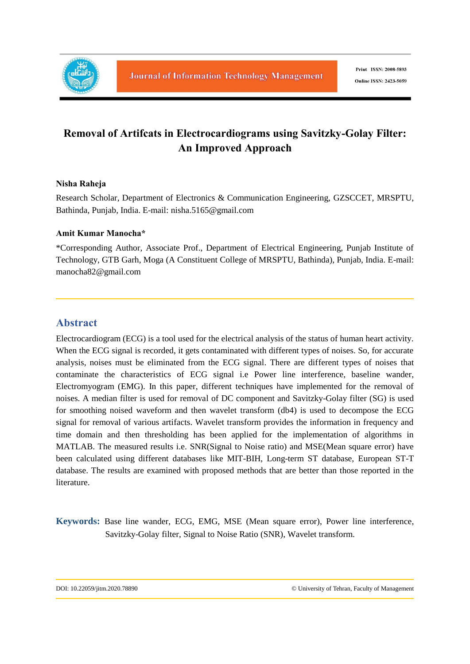

# **Removal of Artifcats in Electrocardiograms using Savitzky-Golay Filter: An Improved Approach**

### **Nisha Raheja**

Research Scholar, Department of Electronics & Communication Engineering, GZSCCET, MRSPTU, Bathinda, Punjab, India. E-mail: nisha.5165@gmail.com

### **Amit Kumar Manocha\***

\*Corresponding Author, Associate Prof., Department of Electrical Engineering, Punjab Institute of Technology, GTB Garh, Moga (A Constituent College of MRSPTU, Bathinda), Punjab, India. E-mail: manocha82@gmail.com

## **Abstract**

Electrocardiogram (ECG) is a tool used for the electrical analysis of the status of human heart activity. When the ECG signal is recorded, it gets contaminated with different types of noises. So, for accurate analysis, noises must be eliminated from the ECG signal. There are different types of noises that contaminate the characteristics of ECG signal i.e Power line interference, baseline wander, Electromyogram (EMG). In this paper, different techniques have implemented for the removal of noises. A median filter is used for removal of DC component and Savitzky-Golay filter (SG) is used for smoothing noised waveform and then wavelet transform (db4) is used to decompose the ECG signal for removal of various artifacts. Wavelet transform provides the information in frequency and time domain and then thresholding has been applied for the implementation of algorithms in MATLAB. The measured results i.e. SNR(Signal to Noise ratio) and MSE(Mean square error) have been calculated using different databases like MIT-BIH, Long-term ST database, European ST-T database. The results are examined with proposed methods that are better than those reported in the literature.

**Keywords:** Base line wander, ECG, EMG, MSE (Mean square error), Power line interference, Savitzky-Golay filter, Signal to Noise Ratio (SNR), Wavelet transform.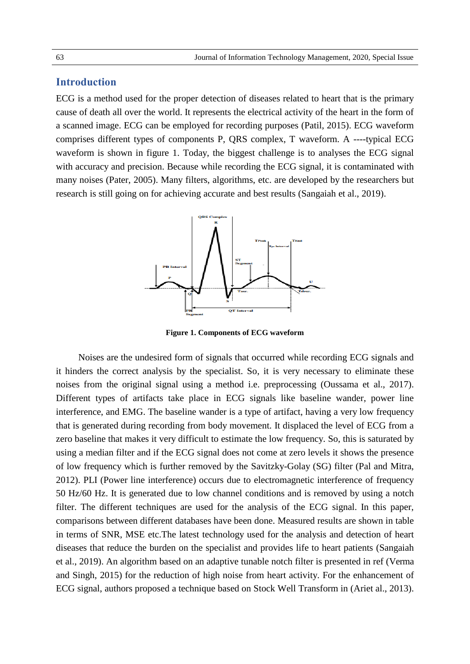## **Introduction**

ECG is a method used for the proper detection of diseases related to heart that is the primary cause of death all over the world. It represents the electrical activity of the heart in the form of a scanned image. ECG can be employed for recording purposes (Patil, 2015). ECG waveform comprises different types of components P, QRS complex, T waveform. A ----typical ECG waveform is shown in figure 1. Today, the biggest challenge is to analyses the ECG signal with accuracy and precision. Because while recording the ECG signal, it is contaminated with many noises (Pater, 2005). Many filters, algorithms, etc. are developed by the researchers but research is still going on for achieving accurate and best results (Sangaiah et al., 2019).



**Figure 1. Components of ECG waveform**

Noises are the undesired form of signals that occurred while recording ECG signals and it hinders the correct analysis by the specialist. So, it is very necessary to eliminate these noises from the original signal using a method i.e. preprocessing (Oussama et al., 2017). Different types of artifacts take place in ECG signals like baseline wander, power line interference, and EMG. The baseline wander is a type of artifact, having a very low frequency that is generated during recording from body movement. It displaced the level of ECG from a zero baseline that makes it very difficult to estimate the low frequency. So, this is saturated by using a median filter and if the ECG signal does not come at zero levels it shows the presence of low frequency which is further removed by the Savitzky-Golay (SG) filter (Pal and Mitra, 2012). PLI (Power line interference) occurs due to electromagnetic interference of frequency 50 Hz/60 Hz. It is generated due to low channel conditions and is removed by using a notch filter. The different techniques are used for the analysis of the ECG signal. In this paper, comparisons between different databases have been done. Measured results are shown in table in terms of SNR, MSE etc.The latest technology used for the analysis and detection of heart diseases that reduce the burden on the specialist and provides life to heart patients (Sangaiah et al., 2019). An algorithm based on an adaptive tunable notch filter is presented in ref (Verma and Singh, 2015) for the reduction of high noise from heart activity. For the enhancement of ECG signal, authors proposed a technique based on Stock Well Transform in (Ariet al., 2013).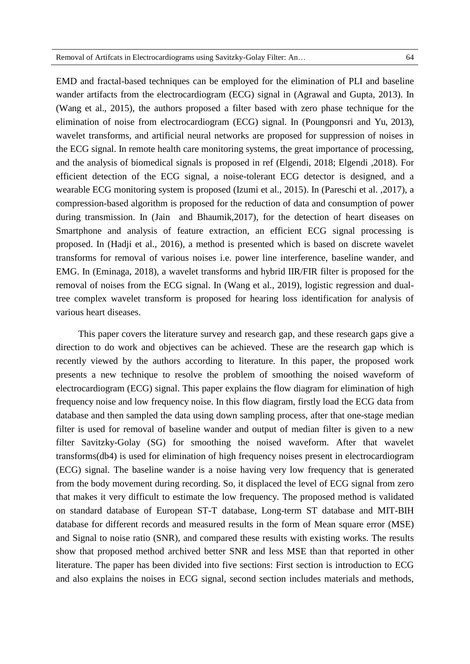EMD and fractal-based techniques can be employed for the elimination of PLI and baseline wander artifacts from the electrocardiogram (ECG) signal in (Agrawal and Gupta, 2013). In (Wang et al., 2015), the authors proposed a filter based with zero phase technique for the elimination of noise from electrocardiogram (ECG) signal. In (Poungponsri and Yu, 2013), wavelet transforms, and artificial neural networks are proposed for suppression of noises in the ECG signal. In remote health care monitoring systems, the great importance of processing, and the analysis of biomedical signals is proposed in ref (Elgendi, 2018; Elgendi ,2018). For efficient detection of the ECG signal, a noise-tolerant ECG detector is designed, and a wearable ECG monitoring system is proposed (Izumi et al., 2015). In (Pareschi et al. ,2017), a compression-based algorithm is proposed for the reduction of data and consumption of power during transmission. In (Jain and Bhaumik,2017), for the detection of heart diseases on Smartphone and analysis of feature extraction, an efficient ECG signal processing is proposed. In (Hadji et al., 2016), a method is presented which is based on discrete wavelet transforms for removal of various noises i.e. power line interference, baseline wander, and EMG. In (Eminaga, 2018), a wavelet transforms and hybrid IIR/FIR filter is proposed for the removal of noises from the ECG signal. In (Wang et al., 2019), logistic regression and dualtree complex wavelet transform is proposed for hearing loss identification for analysis of various heart diseases.

This paper covers the literature survey and research gap, and these research gaps give a direction to do work and objectives can be achieved. These are the research gap which is recently viewed by the authors according to literature. In this paper, the proposed work presents a new technique to resolve the problem of smoothing the noised waveform of electrocardiogram (ECG) signal. This paper explains the flow diagram for elimination of high frequency noise and low frequency noise. In this flow diagram, firstly load the ECG data from database and then sampled the data using down sampling process, after that one-stage median filter is used for removal of baseline wander and output of median filter is given to a new filter Savitzky-Golay (SG) for smoothing the noised waveform. After that wavelet transforms(db4) is used for elimination of high frequency noises present in electrocardiogram (ECG) signal. The baseline wander is a noise having very low frequency that is generated from the body movement during recording. So, it displaced the level of ECG signal from zero that makes it very difficult to estimate the low frequency. The proposed method is validated on standard database of European ST-T database, Long-term ST database and MIT-BIH database for different records and measured results in the form of Mean square error (MSE) and Signal to noise ratio (SNR), and compared these results with existing works. The results show that proposed method archived better SNR and less MSE than that reported in other literature. The paper has been divided into five sections: First section is introduction to ECG and also explains the noises in ECG signal, second section includes materials and methods,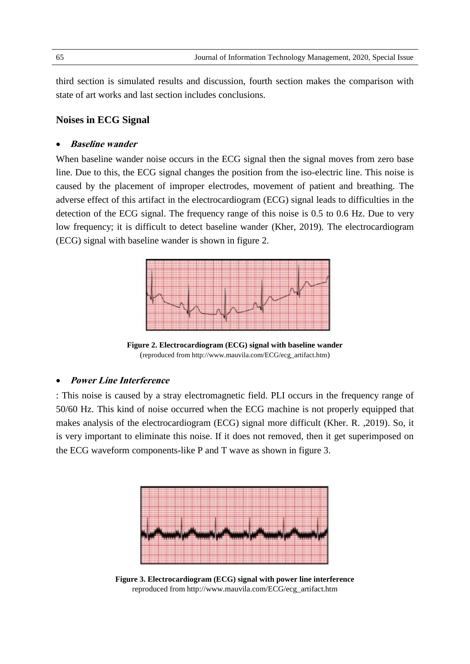third section is simulated results and discussion, fourth section makes the comparison with state of art works and last section includes conclusions.

### **Noises in ECG Signal**

#### **Baseline wander**

When baseline wander noise occurs in the ECG signal then the signal moves from zero base line. Due to this, the ECG signal changes the position from the iso-electric line. This noise is caused by the placement of improper electrodes, movement of patient and breathing. The adverse effect of this artifact in the electrocardiogram (ECG) signal leads to difficulties in the detection of the ECG signal. The frequency range of this noise is 0.5 to 0.6 Hz. Due to very low frequency; it is difficult to detect baseline wander (Kher, 2019). The electrocardiogram (ECG) signal with baseline wander is shown in figure 2.



**Figure 2. Electrocardiogram (ECG) signal with baseline wander** (reproduced from http://www.mauvila.com/ECG/ecg\_artifact.htm)

#### **Power Line Interference**

: This noise is caused by a stray electromagnetic field. PLI occurs in the frequency range of 50/60 Hz. This kind of noise occurred when the ECG machine is not properly equipped that makes analysis of the electrocardiogram (ECG) signal more difficult (Kher. R. ,2019). So, it is very important to eliminate this noise. If it does not removed, then it get superimposed on the ECG waveform components-like P and T wave as shown in figure 3.



**Figure 3. Electrocardiogram (ECG) signal with power line interference** reproduced from http://www.mauvila.com/ECG/ecg\_artifact.htm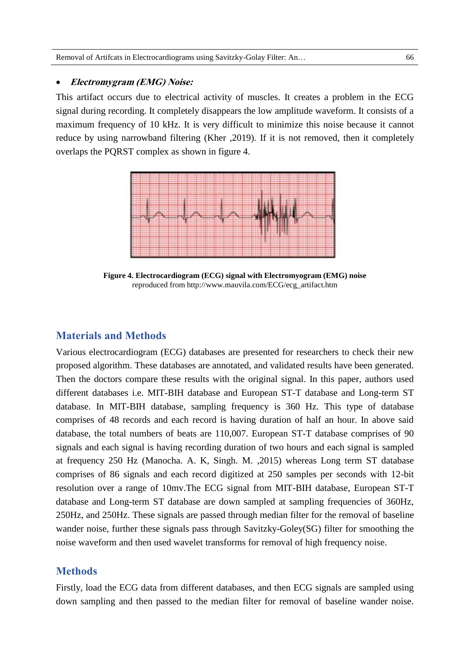### **Electromygram (EMG) Noise:**

This artifact occurs due to electrical activity of muscles. It creates a problem in the ECG signal during recording. It completely disappears the low amplitude waveform. It consists of a maximum frequency of 10 kHz. It is very difficult to minimize this noise because it cannot reduce by using narrowband filtering (Kher ,2019). If it is not removed, then it completely overlaps the PQRST complex as shown in figure 4.



**Figure 4. Electrocardiogram (ECG) signal with Electromyogram (EMG) noise**  reproduced from http://www.mauvila.com/ECG/ecg\_artifact.htm

### **Materials and Methods**

Various electrocardiogram (ECG) databases are presented for researchers to check their new proposed algorithm. These databases are annotated, and validated results have been generated. Then the doctors compare these results with the original signal. In this paper, authors used different databases i.e. MIT-BIH database and European ST-T database and Long-term ST database. In MIT-BIH database, sampling frequency is 360 Hz. This type of database comprises of 48 records and each record is having duration of half an hour. In above said database, the total numbers of beats are 110,007. European ST-T database comprises of 90 signals and each signal is having recording duration of two hours and each signal is sampled at frequency 250 Hz (Manocha. A. K, Singh. M. ,2015) whereas Long term ST database comprises of 86 signals and each record digitized at 250 samples per seconds with 12-bit resolution over a range of 10mv.The ECG signal from MIT-BIH database, European ST-T database and Long-term ST database are down sampled at sampling frequencies of 360Hz, 250Hz, and 250Hz. These signals are passed through median filter for the removal of baseline wander noise, further these signals pass through Savitzky-Goley(SG) filter for smoothing the noise waveform and then used wavelet transforms for removal of high frequency noise.

### **Methods**

Firstly, load the ECG data from different databases, and then ECG signals are sampled using down sampling and then passed to the median filter for removal of baseline wander noise.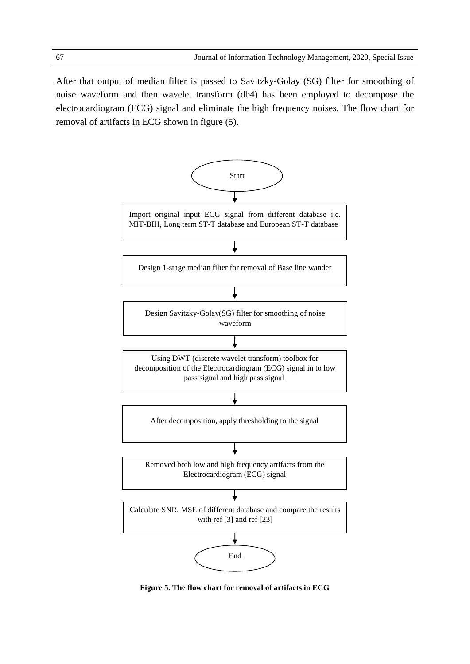After that output of median filter is passed to Savitzky-Golay (SG) filter for smoothing of noise waveform and then wavelet transform (db4) has been employed to decompose the electrocardiogram (ECG) signal and eliminate the high frequency noises. The flow chart for removal of artifacts in ECG shown in figure (5).



**Figure 5. The flow chart for removal of artifacts in ECG**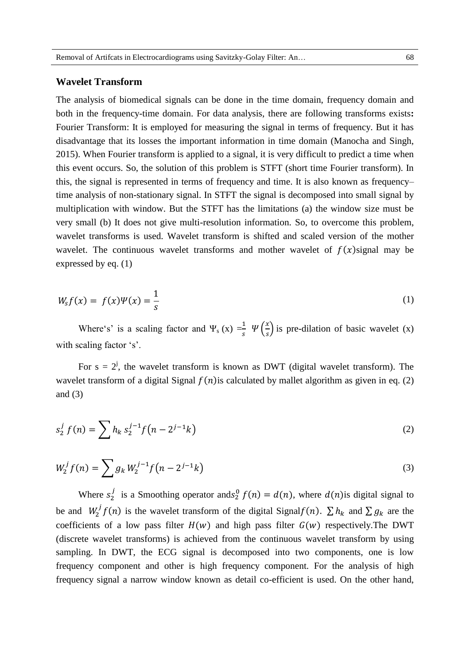#### **Wavelet Transform**

The analysis of biomedical signals can be done in the time domain, frequency domain and both in the frequency-time domain. For data analysis, there are following transforms exists**:**  Fourier Transform: It is employed for measuring the signal in terms of frequency. But it has disadvantage that its losses the important information in time domain (Manocha and Singh, 2015). When Fourier transform is applied to a signal, it is very difficult to predict a time when this event occurs. So, the solution of this problem is STFT (short time Fourier transform). In this, the signal is represented in terms of frequency and time. It is also known as frequency– time analysis of non-stationary signal. In STFT the signal is decomposed into small signal by multiplication with window. But the STFT has the limitations (a) the window size must be very small (b) It does not give multi-resolution information. So, to overcome this problem, wavelet transforms is used. Wavelet transform is shifted and scaled version of the mother wavelet. The continuous wavelet transforms and mother wavelet of  $f(x)$  signal may be expressed by eq. (1)

$$
W_s f(x) = f(x)\Psi(x) = \frac{1}{s} \tag{1}
$$

Where's' is a scaling factor and  $\Psi_s(x) = \frac{1}{s} \Psi\left(\frac{x}{s}\right)$  $\left(\frac{x}{s}\right)$  is pre-dilation of basic wavelet (x) with scaling factor 's'.

For  $s = 2^j$ , the wavelet transform is known as DWT (digital wavelet transform). The wavelet transform of a digital Signal  $f(n)$  is calculated by mallet algorithm as given in eq. (2) and (3)

$$
s_2^j f(n) = \sum h_k s_2^{j-1} f(n - 2^{j-1}k)
$$
 (2)

$$
W_2^j f(n) = \sum g_k W_2^{j-1} f(n - 2^{j-1}k)
$$
\n(3)

Where  $s_2^j$  is a Smoothing operator and  $s_2^0$   $f(n) = d(n)$ , where  $d(n)$  is digital signal to be and  $W_2^j f(n)$  is the wavelet transform of the digital Signal  $f(n)$ .  $\sum h_k$  and  $\sum g_k$  are the coefficients of a low pass filter  $H(w)$  and high pass filter  $G(w)$  respectively. The DWT (discrete wavelet transforms) is achieved from the continuous wavelet transform by using sampling. In DWT, the ECG signal is decomposed into two components, one is low frequency component and other is high frequency component. For the analysis of high frequency signal a narrow window known as detail co-efficient is used. On the other hand,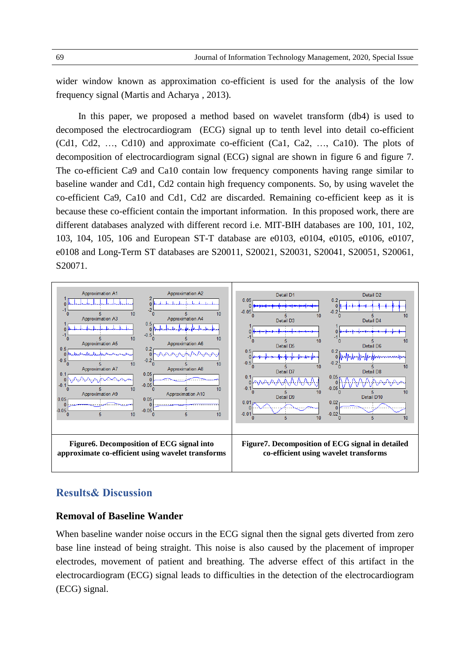wider window known as approximation co-efficient is used for the analysis of the low frequency signal (Martis and Acharya , 2013).

In this paper, we proposed a method based on wavelet transform (db4) is used to decomposed the electrocardiogram (ECG) signal up to tenth level into detail co-efficient (Cd1, Cd2, …, Cd10) and approximate co-efficient (Ca1, Ca2, …, Ca10). The plots of decomposition of electrocardiogram signal (ECG) signal are shown in figure 6 and figure 7. The co-efficient Ca9 and Ca10 contain low frequency components having range similar to baseline wander and Cd1, Cd2 contain high frequency components. So, by using wavelet the co-efficient Ca9, Ca10 and Cd1, Cd2 are discarded. Remaining co-efficient keep as it is because these co-efficient contain the important information. In this proposed work, there are different databases analyzed with different record i.e. MIT-BIH databases are 100, 101, 102, 103, 104, 105, 106 and European ST-T database are e0103, e0104, e0105, e0106, e0107, e0108 and Long-Term ST databases are S20011, S20021, S20031, S20041, S20051, S20061, S20071.



### **Results& Discussion**

### **Removal of Baseline Wander**

When baseline wander noise occurs in the ECG signal then the signal gets diverted from zero base line instead of being straight. This noise is also caused by the placement of improper electrodes, movement of patient and breathing. The adverse effect of this artifact in the electrocardiogram (ECG) signal leads to difficulties in the detection of the electrocardiogram (ECG) signal.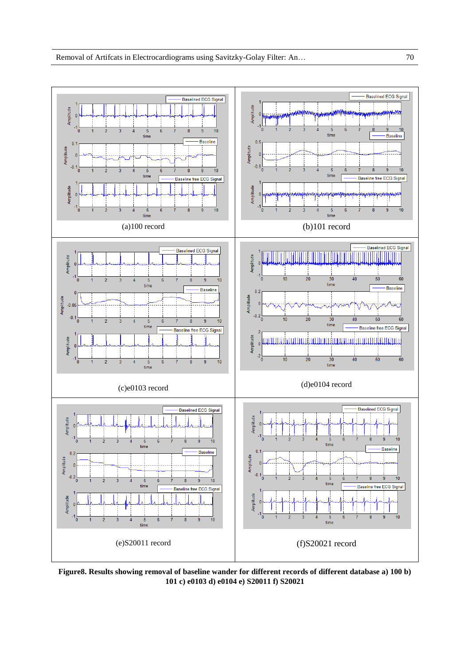

**Figure8. Results showing removal of baseline wander for different records of different database a) 100 b) 101 c) e0103 d) e0104 e) S20011 f) S20021**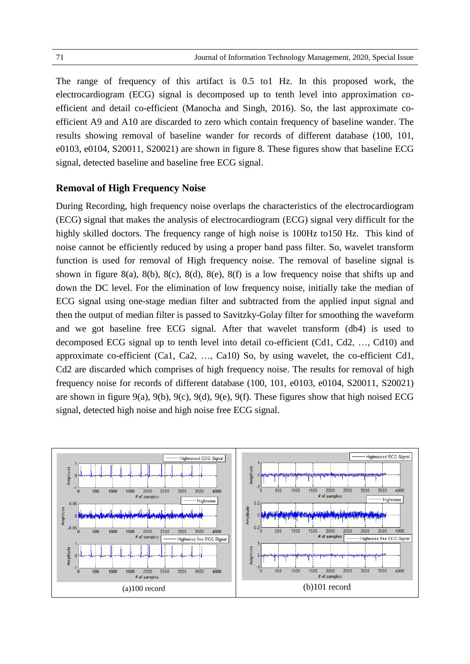The range of frequency of this artifact is 0.5 to1 Hz. In this proposed work, the electrocardiogram (ECG) signal is decomposed up to tenth level into approximation coefficient and detail co-efficient (Manocha and Singh, 2016). So, the last approximate coefficient A9 and A10 are discarded to zero which contain frequency of baseline wander. The results showing removal of baseline wander for records of different database (100, 101, e0103, e0104, S20011, S20021) are shown in figure 8. These figures show that baseline ECG signal, detected baseline and baseline free ECG signal.

### **Removal of High Frequency Noise**

During Recording, high frequency noise overlaps the characteristics of the electrocardiogram (ECG) signal that makes the analysis of electrocardiogram (ECG) signal very difficult for the highly skilled doctors. The frequency range of high noise is 100Hz to150 Hz. This kind of noise cannot be efficiently reduced by using a proper band pass filter. So, wavelet transform function is used for removal of High frequency noise. The removal of baseline signal is shown in figure 8(a), 8(b), 8(c), 8(d), 8(e), 8(f) is a low frequency noise that shifts up and down the DC level. For the elimination of low frequency noise, initially take the median of ECG signal using one-stage median filter and subtracted from the applied input signal and then the output of median filter is passed to Savitzky-Golay filter for smoothing the waveform and we got baseline free ECG signal. After that wavelet transform (db4) is used to decomposed ECG signal up to tenth level into detail co-efficient (Cd1, Cd2, …, Cd10) and approximate co-efficient (Ca1, Ca2, …, Ca10) So, by using wavelet, the co-efficient Cd1, Cd2 are discarded which comprises of high frequency noise. The results for removal of high frequency noise for records of different database (100, 101, e0103, e0104, S20011, S20021) are shown in figure 9(a), 9(b), 9(c), 9(d), 9(e), 9(f). These figures show that high noised ECG signal, detected high noise and high noise free ECG signal.

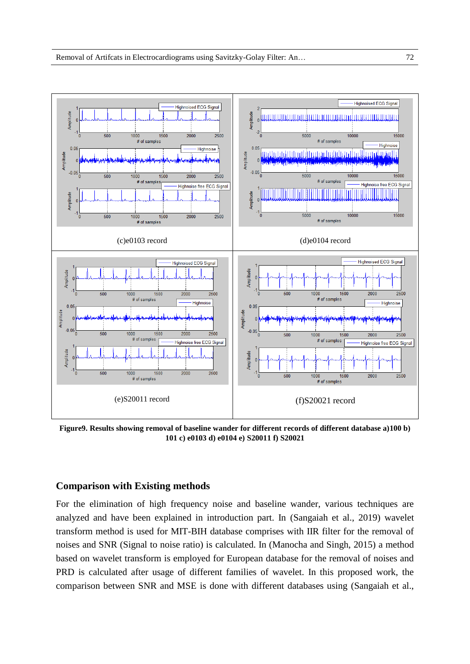

**Figure9. Results showing removal of baseline wander for different records of different database a)100 b) 101 c) e0103 d) e0104 e) S20011 f) S20021**

#### **Comparison with Existing methods**

For the elimination of high frequency noise and baseline wander, various techniques are analyzed and have been explained in introduction part. In (Sangaiah et al., 2019) wavelet transform method is used for MIT-BIH database comprises with IIR filter for the removal of noises and SNR (Signal to noise ratio) is calculated. In (Manocha and Singh, 2015) a method based on wavelet transform is employed for European database for the removal of noises and PRD is calculated after usage of different families of wavelet. In this proposed work, the comparison between SNR and MSE is done with different databases using (Sangaiah et al.,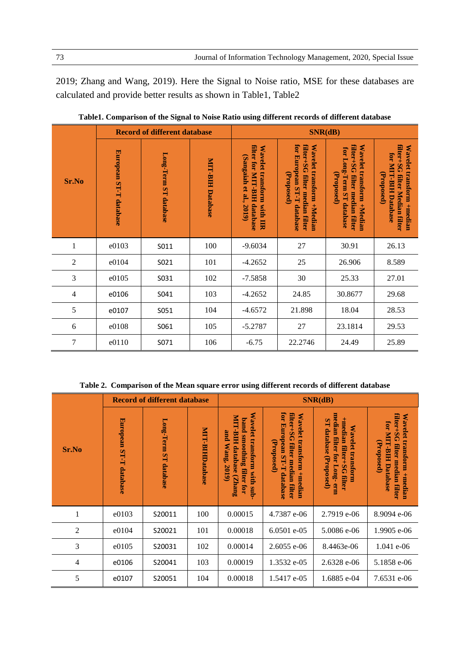2019; Zhang and Wang, 2019). Here the Signal to Noise ratio, MSE for these databases are calculated and provide better results as shown in Table1, Table2

|                | <b>Record of different database</b> |                       |                         | SNR(dB)                                                                                 |                                                                                                        |                                                                                                       |                                                                                                   |
|----------------|-------------------------------------|-----------------------|-------------------------|-----------------------------------------------------------------------------------------|--------------------------------------------------------------------------------------------------------|-------------------------------------------------------------------------------------------------------|---------------------------------------------------------------------------------------------------|
| Sr.No          | European ST-T database              | Long-Term ST database | <b>MIT-BIH Database</b> | filter for MIT-BIH database<br>Wavelet transform with IIR<br>(Sangaiah et al.,<br>2019) | for European ST-T database<br>filter+SG filter median filter<br>Wavelet transform +Median<br>(Proposed | filter+SG filter median filter<br>Wavelet transform +Median<br>for Long-Term ST database<br>Proposed) | filter+SG filter Median filter<br>Wavelet transform +median<br>for MIT-BIH Database<br>(Proposed) |
| $\mathbf{1}$   | e0103                               | S011                  | 100                     | $-9.6034$                                                                               | 27                                                                                                     | 30.91                                                                                                 | 26.13                                                                                             |
| $\overline{c}$ | e0104                               | S021                  | 101                     | $-4.2652$                                                                               | 25                                                                                                     | 26.906                                                                                                | 8.589                                                                                             |
| 3              | e0105                               | S031                  | 102                     | $-7.5858$                                                                               | 30                                                                                                     | 25.33                                                                                                 | 27.01                                                                                             |
| 4              | e0106                               | S041                  | 103                     | $-4.2652$                                                                               | 24.85                                                                                                  | 30.8677                                                                                               | 29.68                                                                                             |
| 5              | e0107                               | S051                  | 104                     | $-4.6572$                                                                               | 21.898                                                                                                 | 18.04                                                                                                 | 28.53                                                                                             |
| 6              | e0108                               | S061                  | 105                     | $-5.2787$                                                                               | 27                                                                                                     | 23.1814                                                                                               | 29.53                                                                                             |
| $\overline{7}$ | e0110                               | S071                  | 106                     | $-6.75$                                                                                 | 22.2746                                                                                                | 24.49                                                                                                 | 25.89                                                                                             |

**Table1. Comparison of the Signal to Noise Ratio using different records of different database**

**Table 2. Comparison of the Mean square error using different records of different database**

| Sr.No          | <b>Record of different database</b> |                          |                        | SNR(dB)                                                                                                   |                                                                                                                |                                                                                                           |                                                                                                                    |  |
|----------------|-------------------------------------|--------------------------|------------------------|-----------------------------------------------------------------------------------------------------------|----------------------------------------------------------------------------------------------------------------|-----------------------------------------------------------------------------------------------------------|--------------------------------------------------------------------------------------------------------------------|--|
|                | European ST-T database              | Long-Term ST<br>database | <b>MIT-BIHDatabase</b> | Wavelet transform with sub-<br>MIT-BIH database (Zhang<br>band smoothing filter for<br>and<br>Wang, 2019) | for European ST-T<br>filter+SG filter median<br>Wavelet transform +median<br>(Proposed)<br>database<br>filter. | median filter for Long-<br>+median filter+SG filter<br>ST database (Proposed)<br>Wavelet transform<br>erm | filter+SG filter median filter<br>Wavelet transform +median<br><b>TOT MIT</b><br>(Proposed)<br><b>BIH Database</b> |  |
| 1              | e0103                               | S20011                   | 100                    | 0.00015                                                                                                   | 4.7387 e-06                                                                                                    | 2.7919 e-06                                                                                               | 8.9094 e-06                                                                                                        |  |
| $\overline{2}$ | e0104                               | S20021                   | 101                    | 0.00018                                                                                                   | 6.0501 e-05                                                                                                    | 5.0086 e-06                                                                                               | 1.9905 e-06                                                                                                        |  |
| 3              | e0105                               | S20031                   | 102                    | 0.00014                                                                                                   | $2.6055$ e-06                                                                                                  | 8.4463e-06                                                                                                | 1.041 e-06                                                                                                         |  |
| 4              | e0106                               | S20041                   | 103                    | 0.00019                                                                                                   | 1.3532 e-05                                                                                                    | 2.6328 e-06                                                                                               | 5.1858 e-06                                                                                                        |  |
| 5              | e0107                               | S20051                   | 104                    | 0.00018                                                                                                   | 1.5417 e-05                                                                                                    | 1.6885 e-04                                                                                               | 7.6531 e-06                                                                                                        |  |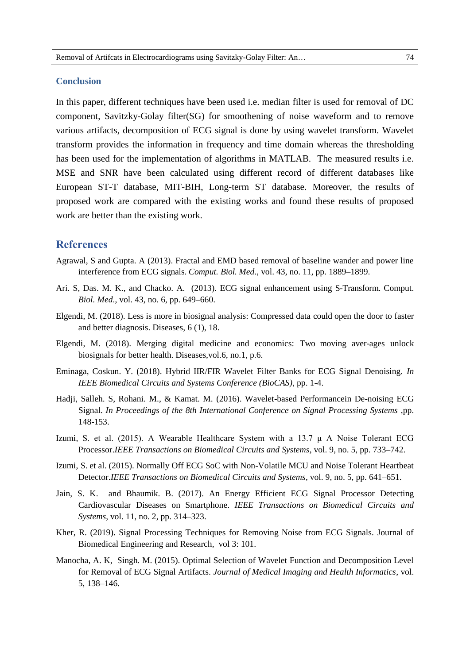#### **Conclusion**

In this paper, different techniques have been used i.e. median filter is used for removal of DC component, Savitzky-Golay filter(SG) for smoothening of noise waveform and to remove various artifacts, decomposition of ECG signal is done by using wavelet transform. Wavelet transform provides the information in frequency and time domain whereas the thresholding has been used for the implementation of algorithms in MATLAB. The measured results i.e. MSE and SNR have been calculated using different record of different databases like European ST-T database, MIT-BIH, Long-term ST database. Moreover, the results of proposed work are compared with the existing works and found these results of proposed work are better than the existing work.

### **References**

- Agrawal, S and Gupta. A (2013). Fractal and EMD based removal of baseline wander and power line interference from ECG signals. *Comput. Biol. Med*., vol. 43, no. 11, pp. 1889–1899.
- Ari. S, Das. M. K., and Chacko. A. (2013). ECG signal enhancement using S-Transform. Comput. *Biol. Med*., vol. 43, no. 6, pp. 649–660.
- Elgendi, M. (2018). Less is more in biosignal analysis: Compressed data could open the door to faster and better diagnosis. Diseases, 6 (1), 18.
- Elgendi, M. (2018). Merging digital medicine and economics: Two moving aver-ages unlock biosignals for better health. Diseases,vol.6, no.1, p.6.
- Eminaga, Coskun. Y. (2018). Hybrid IIR/FIR Wavelet Filter Banks for ECG Signal Denoising. *In IEEE Biomedical Circuits and Systems Conference (BioCAS)*, pp. 1-4.
- Hadji, Salleh. S, Rohani. M., & Kamat. M. (2016). Wavelet-based Performancein De-noising ECG Signal. *In Proceedings of the 8th International Conference on Signal Processing Systems* ,pp. 148-153.
- Izumi, S. et al. (2015). A Wearable Healthcare System with a 13.7  $\mu$  A Noise Tolerant ECG Processor.*IEEE Transactions on Biomedical Circuits and Systems*, vol. 9, no. 5, pp. 733–742.
- Izumi, S. et al. (2015). Normally Off ECG SoC with Non-Volatile MCU and Noise Tolerant Heartbeat Detector.*IEEE Transactions on Biomedical Circuits and Systems*, vol. 9, no. 5, pp. 641–651.
- Jain, S. K. and Bhaumik. B. (2017). An Energy Efficient ECG Signal Processor Detecting Cardiovascular Diseases on Smartphone. *IEEE Transactions on Biomedical Circuits and Systems*, vol. 11, no. 2, pp. 314–323.
- Kher, R. (2019). Signal Processing Techniques for Removing Noise from ECG Signals. Journal of Biomedical Engineering and Research, vol 3: 101.
- Manocha, A. K, Singh. M. (2015). Optimal Selection of Wavelet Function and Decomposition Level for Removal of ECG Signal Artifacts. *Journal of Medical Imaging and Health Informatics*, vol. 5, 138–146.